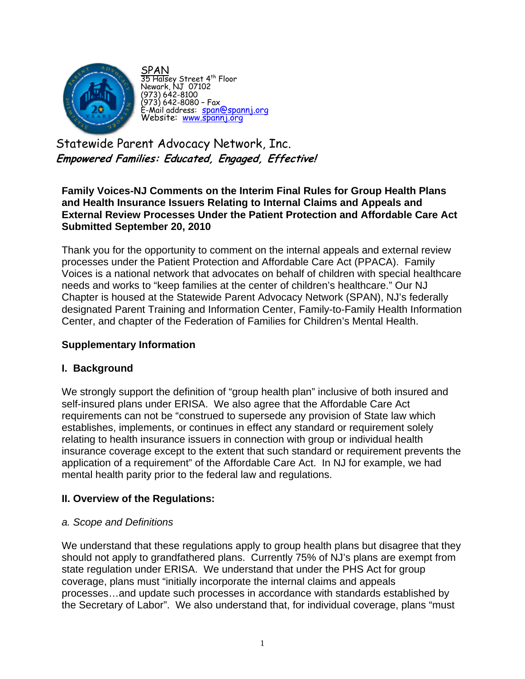

SPAN 35 Halsey Street 4<sup>th</sup> Floor Newark, NJ 07102 (973) 642-8100 (973) 642-8080 – Fax .<br>E-Mail address: span@spannj.org<br>Website: www.spannj.org

Statewide Parent Advocacy Network, Inc. **Empowered Families: Educated, Engaged, Effective!** 

**Family Voices-NJ Comments on the Interim Final Rules for Group Health Plans and Health Insurance Issuers Relating to Internal Claims and Appeals and External Review Processes Under the Patient Protection and Affordable Care Act Submitted September 20, 2010** 

Thank you for the opportunity to comment on the internal appeals and external review processes under the Patient Protection and Affordable Care Act (PPACA). Family Voices is a national network that advocates on behalf of children with special healthcare needs and works to "keep families at the center of children's healthcare." Our NJ Chapter is housed at the Statewide Parent Advocacy Network (SPAN), NJ's federally designated Parent Training and Information Center, Family-to-Family Health Information Center, and chapter of the Federation of Families for Children's Mental Health.

## **Supplementary Information**

### **I. Background**

We strongly support the definition of "group health plan" inclusive of both insured and self-insured plans under ERISA. We also agree that the Affordable Care Act requirements can not be "construed to supersede any provision of State law which establishes, implements, or continues in effect any standard or requirement solely relating to health insurance issuers in connection with group or individual health insurance coverage except to the extent that such standard or requirement prevents the application of a requirement" of the Affordable Care Act. In NJ for example, we had mental health parity prior to the federal law and regulations.

# **II. Overview of the Regulations:**

### *a. Scope and Definitions*

We understand that these regulations apply to group health plans but disagree that they should not apply to grandfathered plans. Currently 75% of NJ's plans are exempt from state regulation under ERISA. We understand that under the PHS Act for group coverage, plans must "initially incorporate the internal claims and appeals processes…and update such processes in accordance with standards established by the Secretary of Labor". We also understand that, for individual coverage, plans "must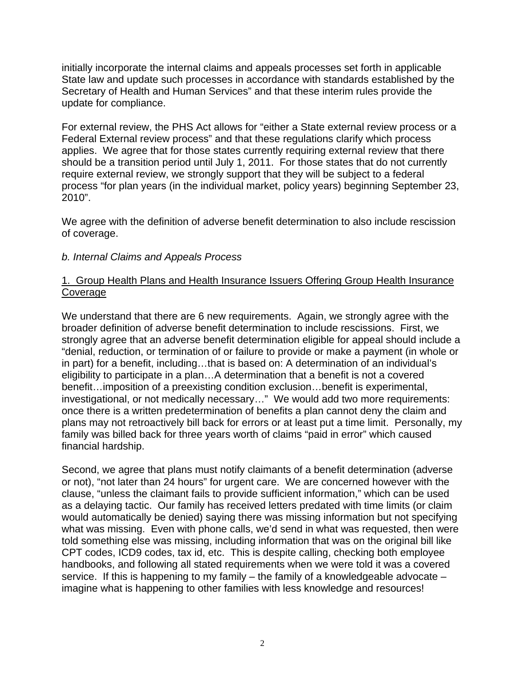initially incorporate the internal claims and appeals processes set forth in applicable State law and update such processes in accordance with standards established by the Secretary of Health and Human Services" and that these interim rules provide the update for compliance.

For external review, the PHS Act allows for "either a State external review process or a Federal External review process" and that these regulations clarify which process applies. We agree that for those states currently requiring external review that there should be a transition period until July 1, 2011. For those states that do not currently require external review, we strongly support that they will be subject to a federal process "for plan years (in the individual market, policy years) beginning September 23, 2010".

We agree with the definition of adverse benefit determination to also include rescission of coverage.

### *b. Internal Claims and Appeals Process*

### 1. Group Health Plans and Health Insurance Issuers Offering Group Health Insurance Coverage

We understand that there are 6 new requirements. Again, we strongly agree with the broader definition of adverse benefit determination to include rescissions. First, we strongly agree that an adverse benefit determination eligible for appeal should include a "denial, reduction, or termination of or failure to provide or make a payment (in whole or in part) for a benefit, including…that is based on: A determination of an individual's eligibility to participate in a plan…A determination that a benefit is not a covered benefit…imposition of a preexisting condition exclusion…benefit is experimental, investigational, or not medically necessary…" We would add two more requirements: once there is a written predetermination of benefits a plan cannot deny the claim and plans may not retroactively bill back for errors or at least put a time limit. Personally, my family was billed back for three years worth of claims "paid in error" which caused financial hardship.

Second, we agree that plans must notify claimants of a benefit determination (adverse or not), "not later than 24 hours" for urgent care. We are concerned however with the clause, "unless the claimant fails to provide sufficient information," which can be used as a delaying tactic. Our family has received letters predated with time limits (or claim would automatically be denied) saying there was missing information but not specifying what was missing. Even with phone calls, we'd send in what was requested, then were told something else was missing, including information that was on the original bill like CPT codes, ICD9 codes, tax id, etc. This is despite calling, checking both employee handbooks, and following all stated requirements when we were told it was a covered service. If this is happening to my family – the family of a knowledgeable advocate – imagine what is happening to other families with less knowledge and resources!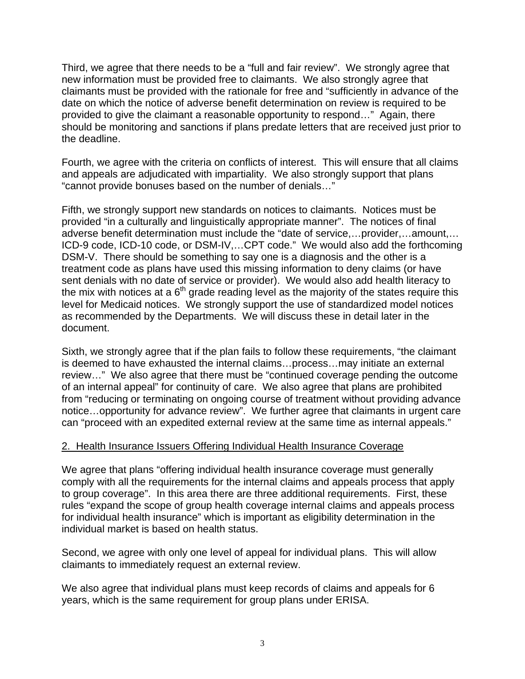Third, we agree that there needs to be a "full and fair review". We strongly agree that new information must be provided free to claimants. We also strongly agree that claimants must be provided with the rationale for free and "sufficiently in advance of the date on which the notice of adverse benefit determination on review is required to be provided to give the claimant a reasonable opportunity to respond…" Again, there should be monitoring and sanctions if plans predate letters that are received just prior to the deadline.

Fourth, we agree with the criteria on conflicts of interest. This will ensure that all claims and appeals are adjudicated with impartiality. We also strongly support that plans "cannot provide bonuses based on the number of denials…"

Fifth, we strongly support new standards on notices to claimants. Notices must be provided "in a culturally and linguistically appropriate manner". The notices of final adverse benefit determination must include the "date of service,…provider,…amount,… ICD-9 code, ICD-10 code, or DSM-IV,…CPT code." We would also add the forthcoming DSM-V. There should be something to say one is a diagnosis and the other is a treatment code as plans have used this missing information to deny claims (or have sent denials with no date of service or provider). We would also add health literacy to the mix with notices at a  $6<sup>th</sup>$  grade reading level as the majority of the states require this level for Medicaid notices. We strongly support the use of standardized model notices as recommended by the Departments. We will discuss these in detail later in the document.

Sixth, we strongly agree that if the plan fails to follow these requirements, "the claimant is deemed to have exhausted the internal claims…process…may initiate an external review…" We also agree that there must be "continued coverage pending the outcome of an internal appeal" for continuity of care. We also agree that plans are prohibited from "reducing or terminating on ongoing course of treatment without providing advance notice…opportunity for advance review". We further agree that claimants in urgent care can "proceed with an expedited external review at the same time as internal appeals."

### 2. Health Insurance Issuers Offering Individual Health Insurance Coverage

We agree that plans "offering individual health insurance coverage must generally comply with all the requirements for the internal claims and appeals process that apply to group coverage". In this area there are three additional requirements. First, these rules "expand the scope of group health coverage internal claims and appeals process for individual health insurance" which is important as eligibility determination in the individual market is based on health status.

Second, we agree with only one level of appeal for individual plans. This will allow claimants to immediately request an external review.

We also agree that individual plans must keep records of claims and appeals for 6 years, which is the same requirement for group plans under ERISA.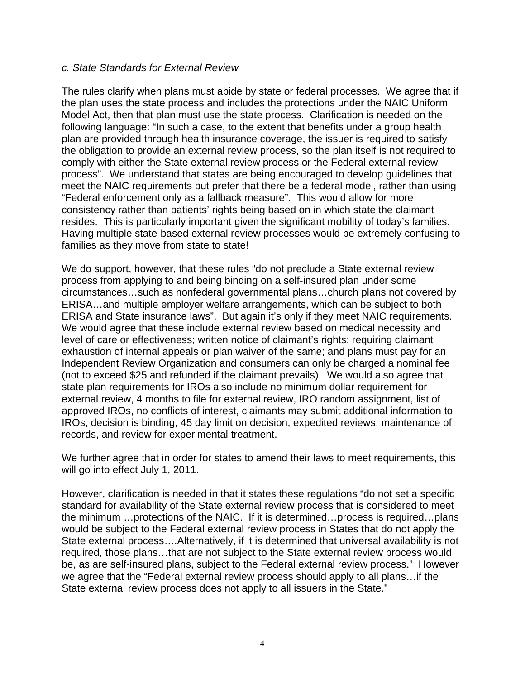#### *c. State Standards for External Review*

The rules clarify when plans must abide by state or federal processes. We agree that if the plan uses the state process and includes the protections under the NAIC Uniform Model Act, then that plan must use the state process. Clarification is needed on the following language: "In such a case, to the extent that benefits under a group health plan are provided through health insurance coverage, the issuer is required to satisfy the obligation to provide an external review process, so the plan itself is not required to comply with either the State external review process or the Federal external review process". We understand that states are being encouraged to develop guidelines that meet the NAIC requirements but prefer that there be a federal model, rather than using "Federal enforcement only as a fallback measure". This would allow for more consistency rather than patients' rights being based on in which state the claimant resides. This is particularly important given the significant mobility of today's families. Having multiple state-based external review processes would be extremely confusing to families as they move from state to state!

We do support, however, that these rules "do not preclude a State external review process from applying to and being binding on a self-insured plan under some circumstances…such as nonfederal governmental plans…church plans not covered by ERISA…and multiple employer welfare arrangements, which can be subject to both ERISA and State insurance laws". But again it's only if they meet NAIC requirements. We would agree that these include external review based on medical necessity and level of care or effectiveness; written notice of claimant's rights; requiring claimant exhaustion of internal appeals or plan waiver of the same; and plans must pay for an Independent Review Organization and consumers can only be charged a nominal fee (not to exceed \$25 and refunded if the claimant prevails). We would also agree that state plan requirements for IROs also include no minimum dollar requirement for external review, 4 months to file for external review, IRO random assignment, list of approved IROs, no conflicts of interest, claimants may submit additional information to IROs, decision is binding, 45 day limit on decision, expedited reviews, maintenance of records, and review for experimental treatment.

We further agree that in order for states to amend their laws to meet requirements, this will go into effect July 1, 2011.

However, clarification is needed in that it states these regulations "do not set a specific standard for availability of the State external review process that is considered to meet the minimum …protections of the NAIC. If it is determined…process is required…plans would be subject to the Federal external review process in States that do not apply the State external process….Alternatively, if it is determined that universal availability is not required, those plans…that are not subject to the State external review process would be, as are self-insured plans, subject to the Federal external review process." However we agree that the "Federal external review process should apply to all plans…if the State external review process does not apply to all issuers in the State."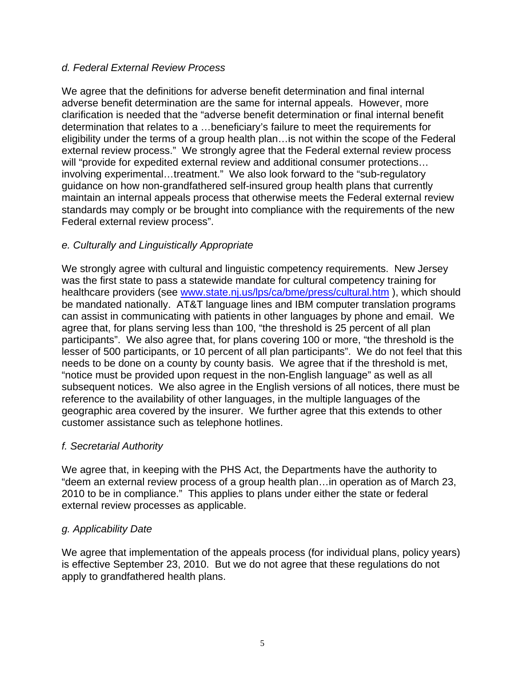## *d. Federal External Review Process*

We agree that the definitions for adverse benefit determination and final internal adverse benefit determination are the same for internal appeals. However, more clarification is needed that the "adverse benefit determination or final internal benefit determination that relates to a …beneficiary's failure to meet the requirements for eligibility under the terms of a group health plan…is not within the scope of the Federal external review process." We strongly agree that the Federal external review process will "provide for expedited external review and additional consumer protections... involving experimental…treatment." We also look forward to the "sub-regulatory guidance on how non-grandfathered self-insured group health plans that currently maintain an internal appeals process that otherwise meets the Federal external review standards may comply or be brought into compliance with the requirements of the new Federal external review process".

# *e. Culturally and Linguistically Appropriate*

We strongly agree with cultural and linguistic competency requirements. New Jersey was the first state to pass a statewide mandate for cultural competency training for healthcare providers (see [www.state.nj.us/lps/ca/bme/press/cultural.htm](http://www.state.nj.us/lps/ca/bme/press/cultural.htm) ), which should be mandated nationally. AT&T language lines and IBM computer translation programs can assist in communicating with patients in other languages by phone and email. We agree that, for plans serving less than 100, "the threshold is 25 percent of all plan participants". We also agree that, for plans covering 100 or more, "the threshold is the lesser of 500 participants, or 10 percent of all plan participants". We do not feel that this needs to be done on a county by county basis. We agree that if the threshold is met, "notice must be provided upon request in the non-English language" as well as all subsequent notices. We also agree in the English versions of all notices, there must be reference to the availability of other languages, in the multiple languages of the geographic area covered by the insurer. We further agree that this extends to other customer assistance such as telephone hotlines.

### *f. Secretarial Authority*

We agree that, in keeping with the PHS Act, the Departments have the authority to "deem an external review process of a group health plan…in operation as of March 23, 2010 to be in compliance." This applies to plans under either the state or federal external review processes as applicable.

### *g. Applicability Date*

We agree that implementation of the appeals process (for individual plans, policy years) is effective September 23, 2010. But we do not agree that these regulations do not apply to grandfathered health plans.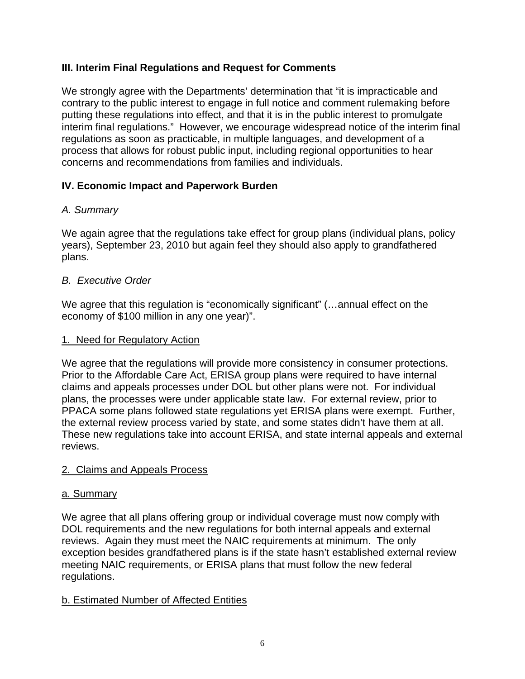# **III. Interim Final Regulations and Request for Comments**

We strongly agree with the Departments' determination that "it is impracticable and contrary to the public interest to engage in full notice and comment rulemaking before putting these regulations into effect, and that it is in the public interest to promulgate interim final regulations." However, we encourage widespread notice of the interim final regulations as soon as practicable, in multiple languages, and development of a process that allows for robust public input, including regional opportunities to hear concerns and recommendations from families and individuals.

# **IV. Economic Impact and Paperwork Burden**

# *A. Summary*

We again agree that the regulations take effect for group plans (individual plans, policy years), September 23, 2010 but again feel they should also apply to grandfathered plans.

# *B. Executive Order*

We agree that this regulation is "economically significant" (...annual effect on the economy of \$100 million in any one year)".

## 1. Need for Regulatory Action

We agree that the regulations will provide more consistency in consumer protections. Prior to the Affordable Care Act, ERISA group plans were required to have internal claims and appeals processes under DOL but other plans were not. For individual plans, the processes were under applicable state law. For external review, prior to PPACA some plans followed state regulations yet ERISA plans were exempt. Further, the external review process varied by state, and some states didn't have them at all. These new regulations take into account ERISA, and state internal appeals and external reviews.

# 2. Claims and Appeals Process

### a. Summary

We agree that all plans offering group or individual coverage must now comply with DOL requirements and the new regulations for both internal appeals and external reviews. Again they must meet the NAIC requirements at minimum. The only exception besides grandfathered plans is if the state hasn't established external review meeting NAIC requirements, or ERISA plans that must follow the new federal regulations.

# b. Estimated Number of Affected Entities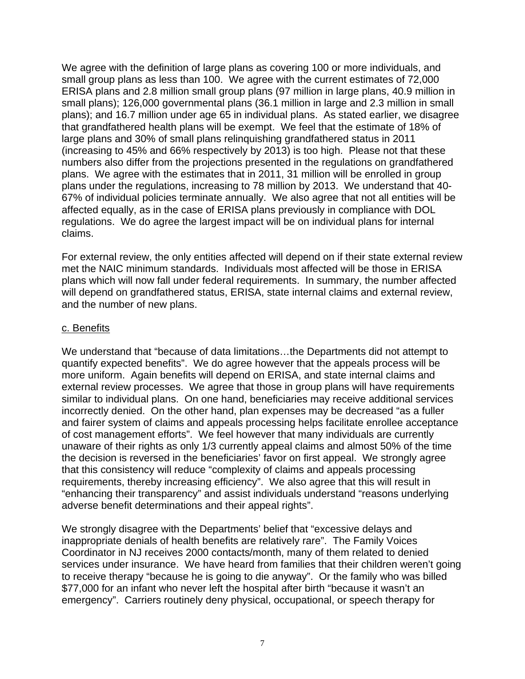We agree with the definition of large plans as covering 100 or more individuals, and small group plans as less than 100. We agree with the current estimates of 72,000 ERISA plans and 2.8 million small group plans (97 million in large plans, 40.9 million in small plans); 126,000 governmental plans (36.1 million in large and 2.3 million in small plans); and 16.7 million under age 65 in individual plans. As stated earlier, we disagree that grandfathered health plans will be exempt. We feel that the estimate of 18% of large plans and 30% of small plans relinquishing grandfathered status in 2011 (increasing to 45% and 66% respectively by 2013) is too high. Please not that these numbers also differ from the projections presented in the regulations on grandfathered plans. We agree with the estimates that in 2011, 31 million will be enrolled in group plans under the regulations, increasing to 78 million by 2013. We understand that 40- 67% of individual policies terminate annually. We also agree that not all entities will be affected equally, as in the case of ERISA plans previously in compliance with DOL regulations. We do agree the largest impact will be on individual plans for internal claims.

For external review, the only entities affected will depend on if their state external review met the NAIC minimum standards. Individuals most affected will be those in ERISA plans which will now fall under federal requirements. In summary, the number affected will depend on grandfathered status, ERISA, state internal claims and external review, and the number of new plans.

### c. Benefits

We understand that "because of data limitations…the Departments did not attempt to quantify expected benefits". We do agree however that the appeals process will be more uniform. Again benefits will depend on ERISA, and state internal claims and external review processes. We agree that those in group plans will have requirements similar to individual plans. On one hand, beneficiaries may receive additional services incorrectly denied. On the other hand, plan expenses may be decreased "as a fuller and fairer system of claims and appeals processing helps facilitate enrollee acceptance of cost management efforts". We feel however that many individuals are currently unaware of their rights as only 1/3 currently appeal claims and almost 50% of the time the decision is reversed in the beneficiaries' favor on first appeal. We strongly agree that this consistency will reduce "complexity of claims and appeals processing requirements, thereby increasing efficiency". We also agree that this will result in "enhancing their transparency" and assist individuals understand "reasons underlying adverse benefit determinations and their appeal rights".

We strongly disagree with the Departments' belief that "excessive delays and inappropriate denials of health benefits are relatively rare". The Family Voices Coordinator in NJ receives 2000 contacts/month, many of them related to denied services under insurance. We have heard from families that their children weren't going to receive therapy "because he is going to die anyway". Or the family who was billed \$77,000 for an infant who never left the hospital after birth "because it wasn't an emergency". Carriers routinely deny physical, occupational, or speech therapy for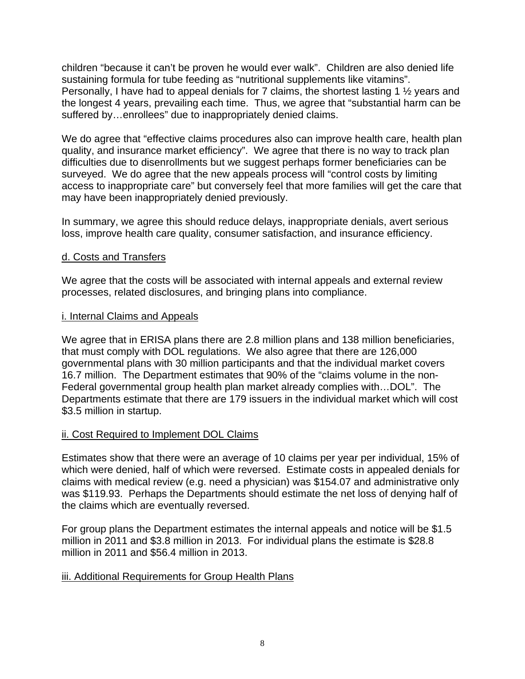children "because it can't be proven he would ever walk". Children are also denied life sustaining formula for tube feeding as "nutritional supplements like vitamins". Personally, I have had to appeal denials for 7 claims, the shortest lasting 1 ½ years and the longest 4 years, prevailing each time. Thus, we agree that "substantial harm can be suffered by…enrollees" due to inappropriately denied claims.

We do agree that "effective claims procedures also can improve health care, health plan quality, and insurance market efficiency". We agree that there is no way to track plan difficulties due to disenrollments but we suggest perhaps former beneficiaries can be surveyed. We do agree that the new appeals process will "control costs by limiting access to inappropriate care" but conversely feel that more families will get the care that may have been inappropriately denied previously.

In summary, we agree this should reduce delays, inappropriate denials, avert serious loss, improve health care quality, consumer satisfaction, and insurance efficiency.

### d. Costs and Transfers

We agree that the costs will be associated with internal appeals and external review processes, related disclosures, and bringing plans into compliance.

#### i. Internal Claims and Appeals

We agree that in ERISA plans there are 2.8 million plans and 138 million beneficiaries, that must comply with DOL regulations. We also agree that there are 126,000 governmental plans with 30 million participants and that the individual market covers 16.7 million. The Department estimates that 90% of the "claims volume in the non-Federal governmental group health plan market already complies with…DOL". The Departments estimate that there are 179 issuers in the individual market which will cost \$3.5 million in startup.

### ii. Cost Required to Implement DOL Claims

Estimates show that there were an average of 10 claims per year per individual, 15% of which were denied, half of which were reversed. Estimate costs in appealed denials for claims with medical review (e.g. need a physician) was \$154.07 and administrative only was \$119.93. Perhaps the Departments should estimate the net loss of denying half of the claims which are eventually reversed.

For group plans the Department estimates the internal appeals and notice will be \$1.5 million in 2011 and \$3.8 million in 2013. For individual plans the estimate is \$28.8 million in 2011 and \$56.4 million in 2013.

### iii. Additional Requirements for Group Health Plans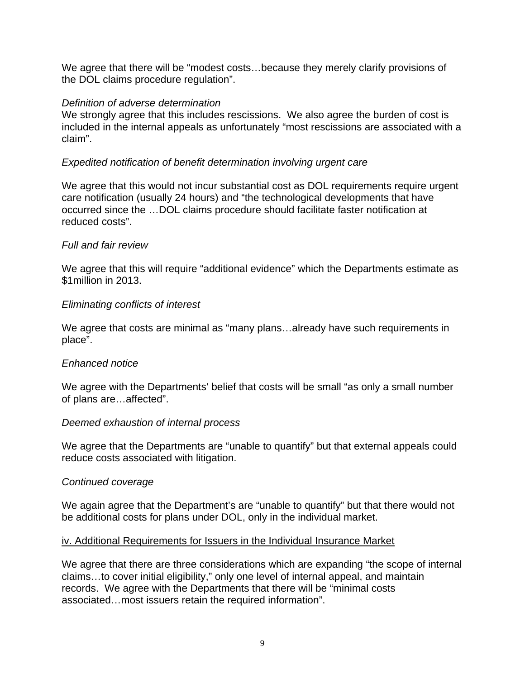We agree that there will be "modest costs...because they merely clarify provisions of the DOL claims procedure regulation".

#### *Definition of adverse determination*

We strongly agree that this includes rescissions. We also agree the burden of cost is included in the internal appeals as unfortunately "most rescissions are associated with a claim".

### *Expedited notification of benefit determination involving urgent care*

We agree that this would not incur substantial cost as DOL requirements require urgent care notification (usually 24 hours) and "the technological developments that have occurred since the …DOL claims procedure should facilitate faster notification at reduced costs".

### *Full and fair review*

We agree that this will require "additional evidence" which the Departments estimate as \$1million in 2013.

### *Eliminating conflicts of interest*

We agree that costs are minimal as "many plans...already have such requirements in place".

### *Enhanced notice*

We agree with the Departments' belief that costs will be small "as only a small number of plans are…affected".

### *Deemed exhaustion of internal process*

We agree that the Departments are "unable to quantify" but that external appeals could reduce costs associated with litigation.

### *Continued coverage*

We again agree that the Department's are "unable to quantify" but that there would not be additional costs for plans under DOL, only in the individual market.

### iv. Additional Requirements for Issuers in the Individual Insurance Market

We agree that there are three considerations which are expanding "the scope of internal claims…to cover initial eligibility," only one level of internal appeal, and maintain records. We agree with the Departments that there will be "minimal costs associated…most issuers retain the required information".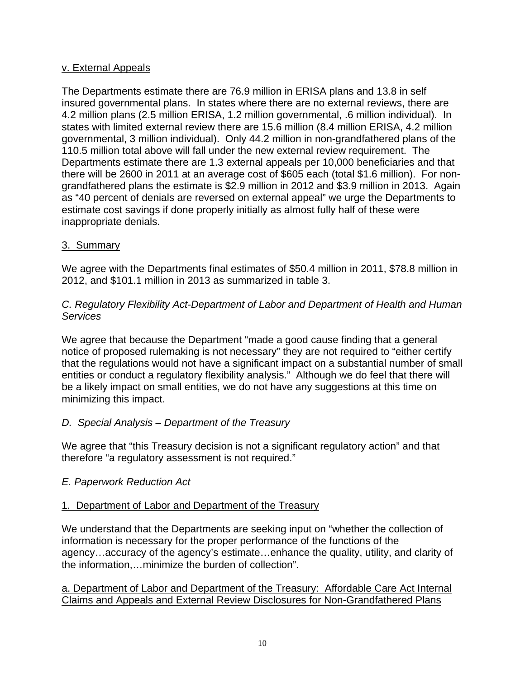### v. External Appeals

The Departments estimate there are 76.9 million in ERISA plans and 13.8 in self insured governmental plans. In states where there are no external reviews, there are 4.2 million plans (2.5 million ERISA, 1.2 million governmental, .6 million individual). In states with limited external review there are 15.6 million (8.4 million ERISA, 4.2 million governmental, 3 million individual). Only 44.2 million in non-grandfathered plans of the 110.5 million total above will fall under the new external review requirement. The Departments estimate there are 1.3 external appeals per 10,000 beneficiaries and that there will be 2600 in 2011 at an average cost of \$605 each (total \$1.6 million). For nongrandfathered plans the estimate is \$2.9 million in 2012 and \$3.9 million in 2013. Again as "40 percent of denials are reversed on external appeal" we urge the Departments to estimate cost savings if done properly initially as almost fully half of these were inappropriate denials.

### 3. Summary

We agree with the Departments final estimates of \$50.4 million in 2011, \$78.8 million in 2012, and \$101.1 million in 2013 as summarized in table 3.

### *C. Regulatory Flexibility Act-Department of Labor and Department of Health and Human Services*

We agree that because the Department "made a good cause finding that a general notice of proposed rulemaking is not necessary" they are not required to "either certify that the regulations would not have a significant impact on a substantial number of small entities or conduct a regulatory flexibility analysis." Although we do feel that there will be a likely impact on small entities, we do not have any suggestions at this time on minimizing this impact.

# *D. Special Analysis – Department of the Treasury*

We agree that "this Treasury decision is not a significant regulatory action" and that therefore "a regulatory assessment is not required."

# *E. Paperwork Reduction Act*

# 1. Department of Labor and Department of the Treasury

We understand that the Departments are seeking input on "whether the collection of information is necessary for the proper performance of the functions of the agency…accuracy of the agency's estimate…enhance the quality, utility, and clarity of the information,…minimize the burden of collection".

a. Department of Labor and Department of the Treasury: Affordable Care Act Internal Claims and Appeals and External Review Disclosures for Non-Grandfathered Plans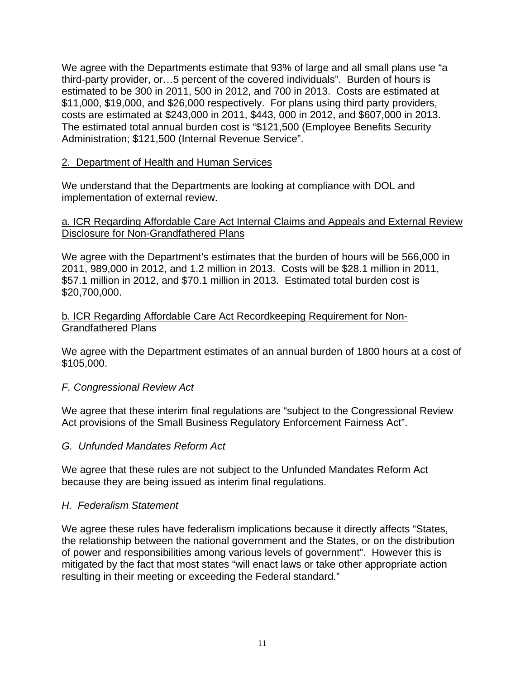We agree with the Departments estimate that 93% of large and all small plans use "a third-party provider, or…5 percent of the covered individuals". Burden of hours is estimated to be 300 in 2011, 500 in 2012, and 700 in 2013. Costs are estimated at \$11,000, \$19,000, and \$26,000 respectively. For plans using third party providers, costs are estimated at \$243,000 in 2011, \$443, 000 in 2012, and \$607,000 in 2013. The estimated total annual burden cost is "\$121,500 (Employee Benefits Security Administration; \$121,500 (Internal Revenue Service".

### 2. Department of Health and Human Services

We understand that the Departments are looking at compliance with DOL and implementation of external review.

### a. ICR Regarding Affordable Care Act Internal Claims and Appeals and External Review Disclosure for Non-Grandfathered Plans

We agree with the Department's estimates that the burden of hours will be 566,000 in 2011, 989,000 in 2012, and 1.2 million in 2013. Costs will be \$28.1 million in 2011, \$57.1 million in 2012, and \$70.1 million in 2013. Estimated total burden cost is \$20,700,000.

### b. ICR Regarding Affordable Care Act Recordkeeping Requirement for Non-Grandfathered Plans

We agree with the Department estimates of an annual burden of 1800 hours at a cost of \$105,000.

### *F. Congressional Review Act*

We agree that these interim final regulations are "subject to the Congressional Review Act provisions of the Small Business Regulatory Enforcement Fairness Act".

### *G. Unfunded Mandates Reform Act*

We agree that these rules are not subject to the Unfunded Mandates Reform Act because they are being issued as interim final regulations.

### *H. Federalism Statement*

We agree these rules have federalism implications because it directly affects "States, the relationship between the national government and the States, or on the distribution of power and responsibilities among various levels of government". However this is mitigated by the fact that most states "will enact laws or take other appropriate action resulting in their meeting or exceeding the Federal standard."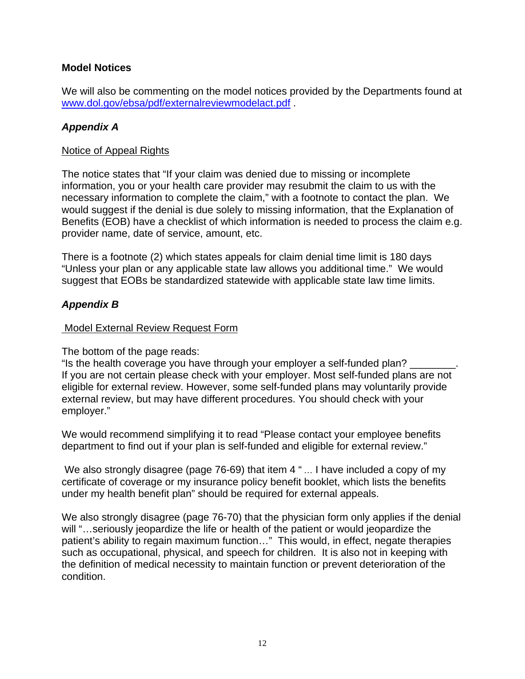# **Model Notices**

We will also be commenting on the model notices provided by the Departments found at [www.dol.gov/ebsa/pdf/externalreviewmodelact.pdf](http://www.dol.gov/ebsa/pdf/externalreviewmodelact.pdf) .

## *Appendix A*

#### Notice of Appeal Rights

The notice states that "If your claim was denied due to missing or incomplete information, you or your health care provider may resubmit the claim to us with the necessary information to complete the claim," with a footnote to contact the plan. We would suggest if the denial is due solely to missing information, that the Explanation of Benefits (EOB) have a checklist of which information is needed to process the claim e.g. provider name, date of service, amount, etc.

There is a footnote (2) which states appeals for claim denial time limit is 180 days "Unless your plan or any applicable state law allows you additional time." We would suggest that EOBs be standardized statewide with applicable state law time limits.

### *Appendix B*

#### Model External Review Request Form

The bottom of the page reads:

"Is the health coverage you have through your employer a self-funded plan? \_\_\_\_\_\_\_\_. If you are not certain please check with your employer. Most self-funded plans are not eligible for external review. However, some self-funded plans may voluntarily provide external review, but may have different procedures. You should check with your employer."

We would recommend simplifying it to read "Please contact your employee benefits department to find out if your plan is self-funded and eligible for external review."

We also strongly disagree (page 76-69) that item 4 "... I have included a copy of my certificate of coverage or my insurance policy benefit booklet, which lists the benefits under my health benefit plan" should be required for external appeals.

We also strongly disagree (page 76-70) that the physician form only applies if the denial will "...seriously jeopardize the life or health of the patient or would jeopardize the patient's ability to regain maximum function…" This would, in effect, negate therapies such as occupational, physical, and speech for children. It is also not in keeping with the definition of medical necessity to maintain function or prevent deterioration of the condition.